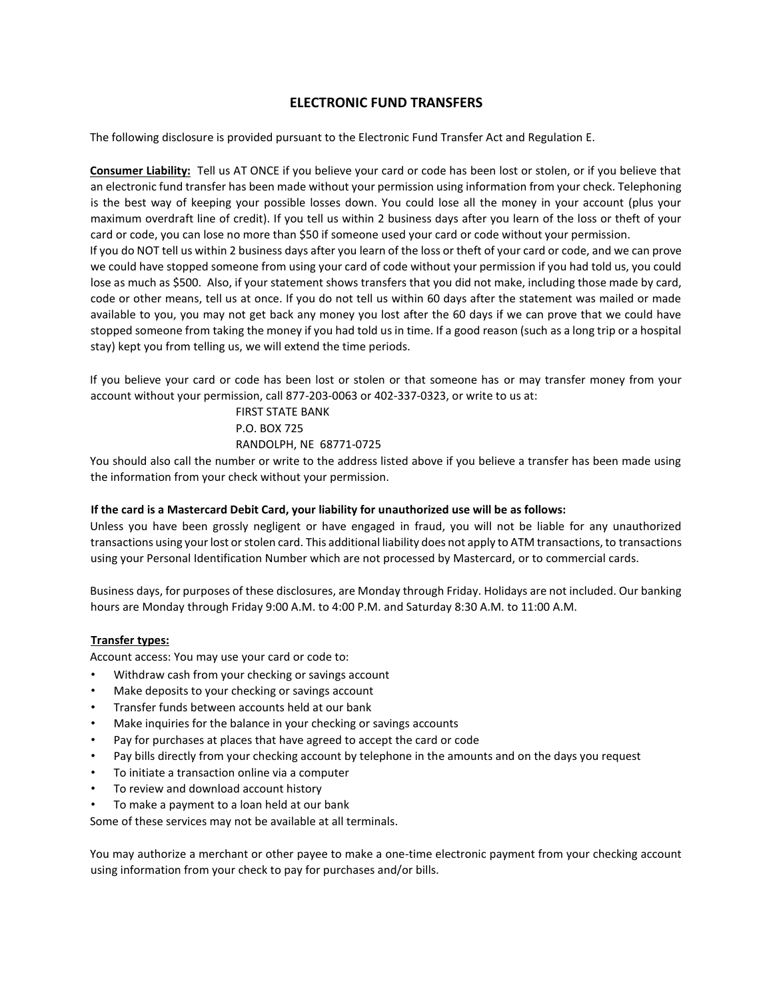# **ELECTRONIC FUND TRANSFERS**

The following disclosure is provided pursuant to the Electronic Fund Transfer Act and Regulation E.

**Consumer Liability:** Tell us AT ONCE if you believe your card or code has been lost or stolen, or if you believe that an electronic fund transfer has been made without your permission using information from your check. Telephoning is the best way of keeping your possible losses down. You could lose all the money in your account (plus your maximum overdraft line of credit). If you tell us within 2 business days after you learn of the loss or theft of your card or code, you can lose no more than \$50 if someone used your card or code without your permission. If you do NOT tell us within 2 business days after you learn of the loss or theft of your card or code, and we can prove we could have stopped someone from using your card of code without your permission if you had told us, you could lose as much as \$500. Also, if your statement shows transfers that you did not make, including those made by card, code or other means, tell us at once. If you do not tell us within 60 days after the statement was mailed or made available to you, you may not get back any money you lost after the 60 days if we can prove that we could have stopped someone from taking the money if you had told us in time. If a good reason (such as a long trip or a hospital stay) kept you from telling us, we will extend the time periods.

If you believe your card or code has been lost or stolen or that someone has or may transfer money from your account without your permission, call 877-203-0063 or 402-337-0323, or write to us at:

> FIRST STATE BANK P.O. BOX 725 RANDOLPH, NE 68771-0725

You should also call the number or write to the address listed above if you believe a transfer has been made using the information from your check without your permission.

### **If the card is a Mastercard Debit Card, your liability for unauthorized use will be as follows:**

Unless you have been grossly negligent or have engaged in fraud, you will not be liable for any unauthorized transactions using your lost or stolen card. This additional liability does not apply to ATM transactions, to transactions using your Personal Identification Number which are not processed by Mastercard, or to commercial cards.

Business days, for purposes of these disclosures, are Monday through Friday. Holidays are not included. Our banking hours are Monday through Friday 9:00 A.M. to 4:00 P.M. and Saturday 8:30 A.M. to 11:00 A.M.

### **Transfer types:**

Account access: You may use your card or code to:

- Withdraw cash from your checking or savings account
- Make deposits to your checking or savings account
- Transfer funds between accounts held at our bank
- Make inquiries for the balance in your checking or savings accounts
- Pay for purchases at places that have agreed to accept the card or code
- Pay bills directly from your checking account by telephone in the amounts and on the days you request
- To initiate a transaction online via a computer
- To review and download account history
- To make a payment to a loan held at our bank

Some of these services may not be available at all terminals.

You may authorize a merchant or other payee to make a one-time electronic payment from your checking account using information from your check to pay for purchases and/or bills.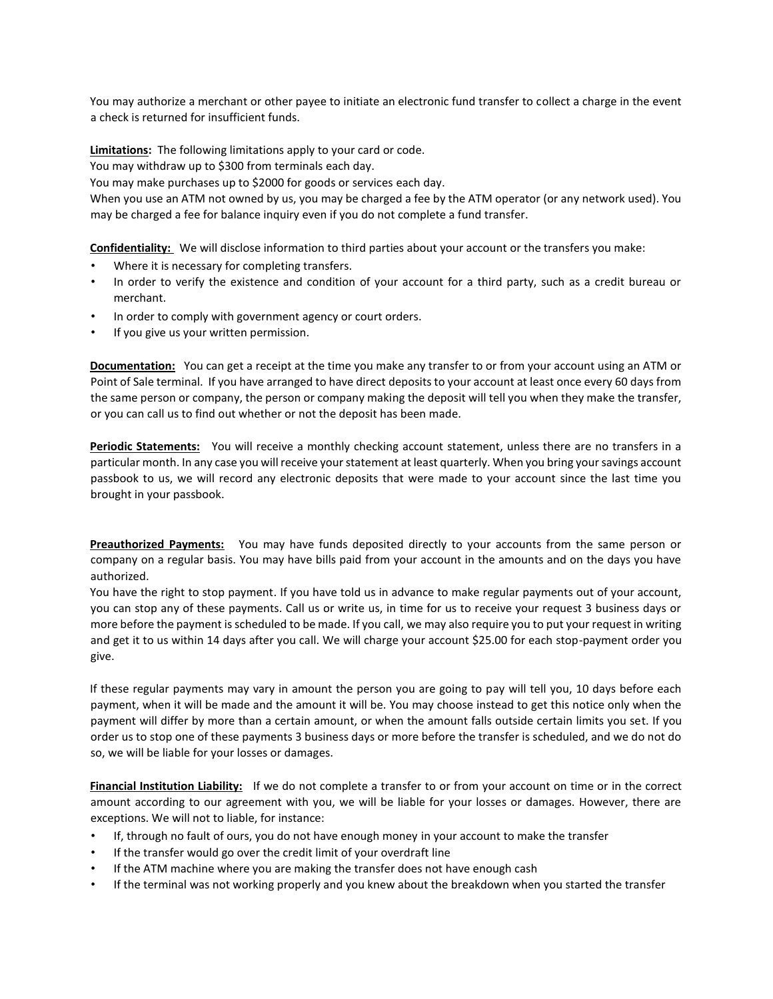You may authorize a merchant or other payee to initiate an electronic fund transfer to collect a charge in the event a check is returned for insufficient funds.

**Limitations:** The following limitations apply to your card or code.

You may withdraw up to \$300 from terminals each day.

You may make purchases up to \$2000 for goods or services each day.

When you use an ATM not owned by us, you may be charged a fee by the ATM operator (or any network used). You may be charged a fee for balance inquiry even if you do not complete a fund transfer.

**Confidentiality:** We will disclose information to third parties about your account or the transfers you make:

- Where it is necessary for completing transfers.
- In order to verify the existence and condition of your account for a third party, such as a credit bureau or merchant.
- In order to comply with government agency or court orders.
- If you give us your written permission.

**Documentation:** You can get a receipt at the time you make any transfer to or from your account using an ATM or Point of Sale terminal. If you have arranged to have direct deposits to your account at least once every 60 days from the same person or company, the person or company making the deposit will tell you when they make the transfer, or you can call us to find out whether or not the deposit has been made.

**Periodic Statements:** You will receive a monthly checking account statement, unless there are no transfers in a particular month. In any case you will receive your statement at least quarterly. When you bring your savings account passbook to us, we will record any electronic deposits that were made to your account since the last time you brought in your passbook.

**Preauthorized Payments:** You may have funds deposited directly to your accounts from the same person or company on a regular basis. You may have bills paid from your account in the amounts and on the days you have authorized.

You have the right to stop payment. If you have told us in advance to make regular payments out of your account, you can stop any of these payments. Call us or write us, in time for us to receive your request 3 business days or more before the payment is scheduled to be made. If you call, we may also require you to put your request in writing and get it to us within 14 days after you call. We will charge your account \$25.00 for each stop-payment order you give.

If these regular payments may vary in amount the person you are going to pay will tell you, 10 days before each payment, when it will be made and the amount it will be. You may choose instead to get this notice only when the payment will differ by more than a certain amount, or when the amount falls outside certain limits you set. If you order us to stop one of these payments 3 business days or more before the transfer is scheduled, and we do not do so, we will be liable for your losses or damages.

**Financial Institution Liability:** If we do not complete a transfer to or from your account on time or in the correct amount according to our agreement with you, we will be liable for your losses or damages. However, there are exceptions. We will not to liable, for instance:

- If, through no fault of ours, you do not have enough money in your account to make the transfer
- If the transfer would go over the credit limit of your overdraft line
- If the ATM machine where you are making the transfer does not have enough cash
- If the terminal was not working properly and you knew about the breakdown when you started the transfer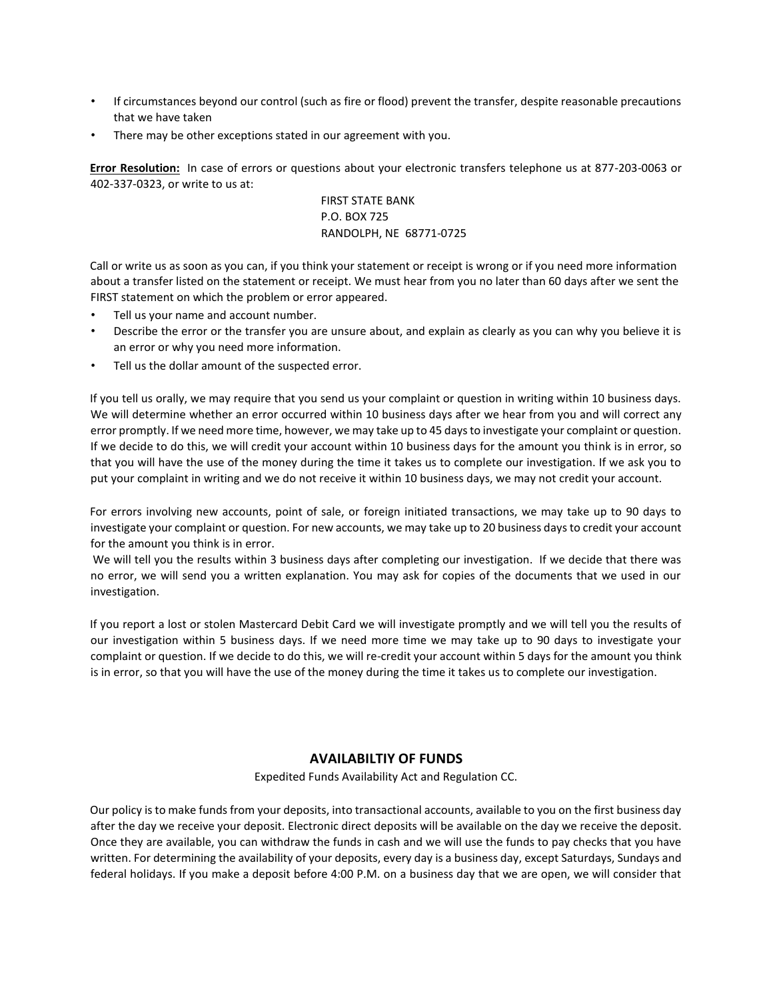- If circumstances beyond our control (such as fire or flood) prevent the transfer, despite reasonable precautions that we have taken
- There may be other exceptions stated in our agreement with you.

**Error Resolution:** In case of errors or questions about your electronic transfers telephone us at 877-203-0063 or 402-337-0323, or write to us at:

> FIRST STATE BANK P.O. BOX 725 RANDOLPH, NE 68771-0725

Call or write us as soon as you can, if you think your statement or receipt is wrong or if you need more information about a transfer listed on the statement or receipt. We must hear from you no later than 60 days after we sent the FIRST statement on which the problem or error appeared.

- Tell us your name and account number.
- Describe the error or the transfer you are unsure about, and explain as clearly as you can why you believe it is an error or why you need more information.
- Tell us the dollar amount of the suspected error.

If you tell us orally, we may require that you send us your complaint or question in writing within 10 business days. We will determine whether an error occurred within 10 business days after we hear from you and will correct any error promptly. If we need more time, however, we may take up to 45 days to investigate your complaint or question. If we decide to do this, we will credit your account within 10 business days for the amount you think is in error, so that you will have the use of the money during the time it takes us to complete our investigation. If we ask you to put your complaint in writing and we do not receive it within 10 business days, we may not credit your account.

For errors involving new accounts, point of sale, or foreign initiated transactions, we may take up to 90 days to investigate your complaint or question. For new accounts, we may take up to 20 business days to credit your account for the amount you think is in error.

We will tell you the results within 3 business days after completing our investigation. If we decide that there was no error, we will send you a written explanation. You may ask for copies of the documents that we used in our investigation.

If you report a lost or stolen Mastercard Debit Card we will investigate promptly and we will tell you the results of our investigation within 5 business days. If we need more time we may take up to 90 days to investigate your complaint or question. If we decide to do this, we will re-credit your account within 5 days for the amount you think is in error, so that you will have the use of the money during the time it takes us to complete our investigation.

### **AVAILABILTIY OF FUNDS**

Expedited Funds Availability Act and Regulation CC.

Our policy is to make funds from your deposits, into transactional accounts, available to you on the first business day after the day we receive your deposit. Electronic direct deposits will be available on the day we receive the deposit. Once they are available, you can withdraw the funds in cash and we will use the funds to pay checks that you have written. For determining the availability of your deposits, every day is a business day, except Saturdays, Sundays and federal holidays. If you make a deposit before 4:00 P.M. on a business day that we are open, we will consider that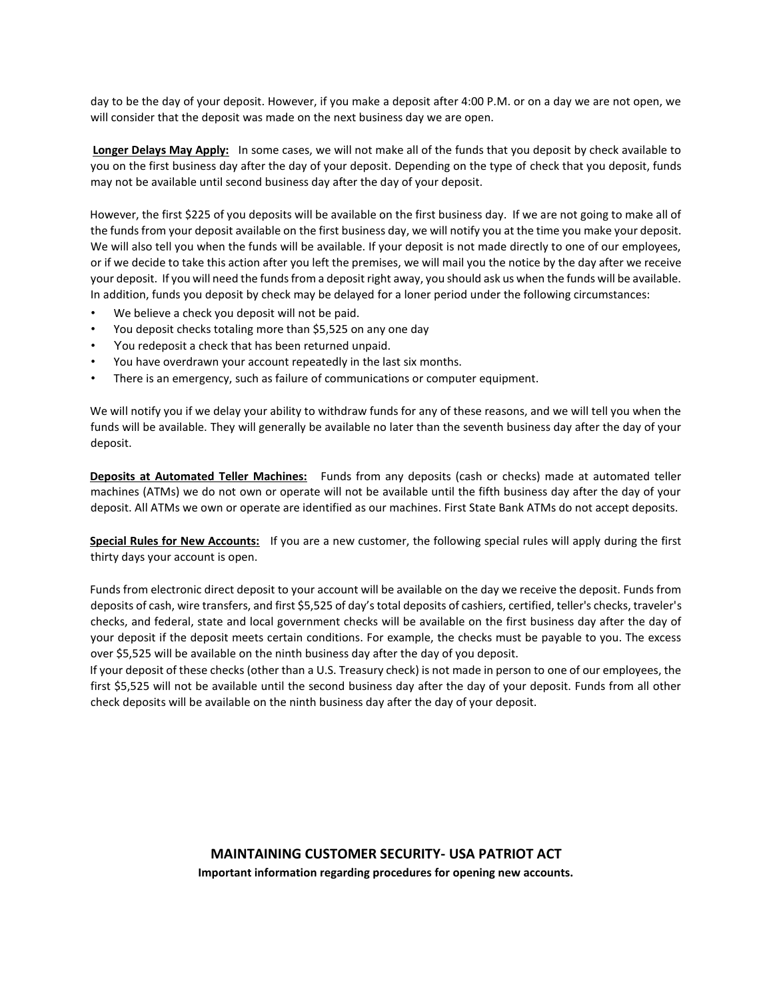day to be the day of your deposit. However, if you make a deposit after 4:00 P.M. or on a day we are not open, we will consider that the deposit was made on the next business day we are open.

**Longer Delays May Apply:** In some cases, we will not make all of the funds that you deposit by check available to you on the first business day after the day of your deposit. Depending on the type of check that you deposit, funds may not be available until second business day after the day of your deposit.

However, the first \$225 of you deposits will be available on the first business day. If we are not going to make all of the funds from your deposit available on the first business day, we will notify you at the time you make your deposit. We will also tell you when the funds will be available. If your deposit is not made directly to one of our employees, or if we decide to take this action after you left the premises, we will mail you the notice by the day after we receive your deposit. If you will need the funds from a deposit right away, you should ask us when the funds will be available. In addition, funds you deposit by check may be delayed for a loner period under the following circumstances:

- We believe a check you deposit will not be paid.
- You deposit checks totaling more than \$5,525 on any one day
- You redeposit a check that has been returned unpaid.
- You have overdrawn your account repeatedly in the last six months.
- There is an emergency, such as failure of communications or computer equipment.

We will notify you if we delay your ability to withdraw funds for any of these reasons, and we will tell you when the funds will be available. They will generally be available no later than the seventh business day after the day of your deposit.

**Deposits at Automated Teller Machines:** Funds from any deposits (cash or checks) made at automated teller machines (ATMs) we do not own or operate will not be available until the fifth business day after the day of your deposit. All ATMs we own or operate are identified as our machines. First State Bank ATMs do not accept deposits.

**Special Rules for New Accounts:** If you are a new customer, the following special rules will apply during the first thirty days your account is open.

Funds from electronic direct deposit to your account will be available on the day we receive the deposit. Funds from deposits of cash, wire transfers, and first \$5,525 of day's total deposits of cashiers, certified, teller's checks, traveler's checks, and federal, state and local government checks will be available on the first business day after the day of your deposit if the deposit meets certain conditions. For example, the checks must be payable to you. The excess over \$5,525 will be available on the ninth business day after the day of you deposit.

If your deposit of these checks (other than a U.S. Treasury check) is not made in person to one of our employees, the first \$5,525 will not be available until the second business day after the day of your deposit. Funds from all other check deposits will be available on the ninth business day after the day of your deposit.